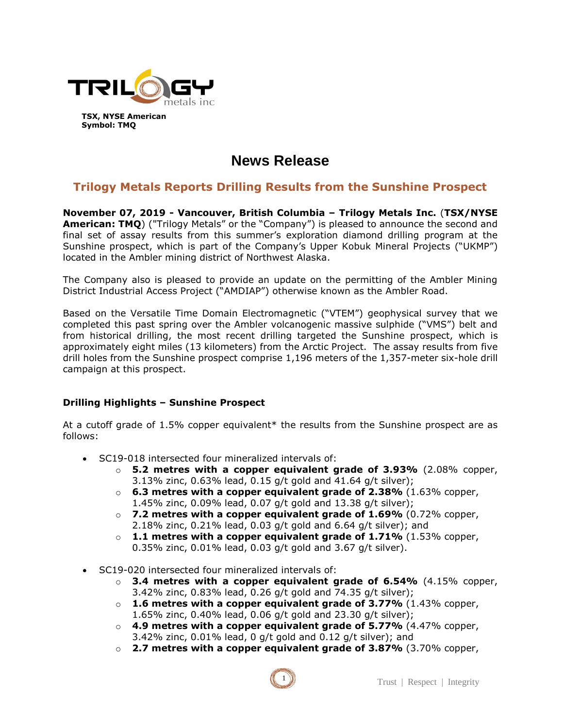

# **News Release**

# **Trilogy Metals Reports Drilling Results from the Sunshine Prospect**

**November 07, 2019 - Vancouver, British Columbia – Trilogy Metals Inc.** (**TSX/NYSE American: TMQ**) ("Trilogy Metals" or the "Company") is pleased to announce the second and final set of assay results from this summer's exploration diamond drilling program at the Sunshine prospect, which is part of the Company's Upper Kobuk Mineral Projects ("UKMP") located in the Ambler mining district of Northwest Alaska.

The Company also is pleased to provide an update on the permitting of the Ambler Mining District Industrial Access Project ("AMDIAP") otherwise known as the Ambler Road.

Based on the Versatile Time Domain Electromagnetic ("VTEM") geophysical survey that we completed this past spring over the Ambler volcanogenic massive sulphide ("VMS") belt and from historical drilling, the most recent drilling targeted the Sunshine prospect, which is approximately eight miles (13 kilometers) from the Arctic Project. The assay results from five drill holes from the Sunshine prospect comprise 1,196 meters of the 1,357-meter six-hole drill campaign at this prospect.

# **Drilling Highlights – Sunshine Prospect**

At a cutoff grade of 1.5% copper equivalent\* the results from the Sunshine prospect are as follows:

- SC19-018 intersected four mineralized intervals of:
	- o **5.2 metres with a copper equivalent grade of 3.93%** (2.08% copper, 3.13% zinc, 0.63% lead, 0.15 g/t gold and 41.64 g/t silver);
	- o **6.3 metres with a copper equivalent grade of 2.38%** (1.63% copper, 1.45% zinc, 0.09% lead, 0.07 g/t gold and 13.38 g/t silver);
	- o **7.2 metres with a copper equivalent grade of 1.69%** (0.72% copper, 2.18% zinc, 0.21% lead, 0.03 g/t gold and 6.64 g/t silver); and
	- o **1.1 metres with a copper equivalent grade of 1.71%** (1.53% copper, 0.35% zinc, 0.01% lead, 0.03 g/t gold and 3.67 g/t silver).
- SC19-020 intersected four mineralized intervals of:
	- o **3.4 metres with a copper equivalent grade of 6.54%** (4.15% copper, 3.42% zinc, 0.83% lead, 0.26 g/t gold and 74.35 g/t silver);
	- o **1.6 metres with a copper equivalent grade of 3.77%** (1.43% copper, 1.65% zinc, 0.40% lead, 0.06 g/t gold and 23.30 g/t silver);
	- o **4.9 metres with a copper equivalent grade of 5.77%** (4.47% copper, 3.42% zinc, 0.01% lead, 0 g/t gold and 0.12 g/t silver); and
	- o **2.7 metres with a copper equivalent grade of 3.87%** (3.70% copper,

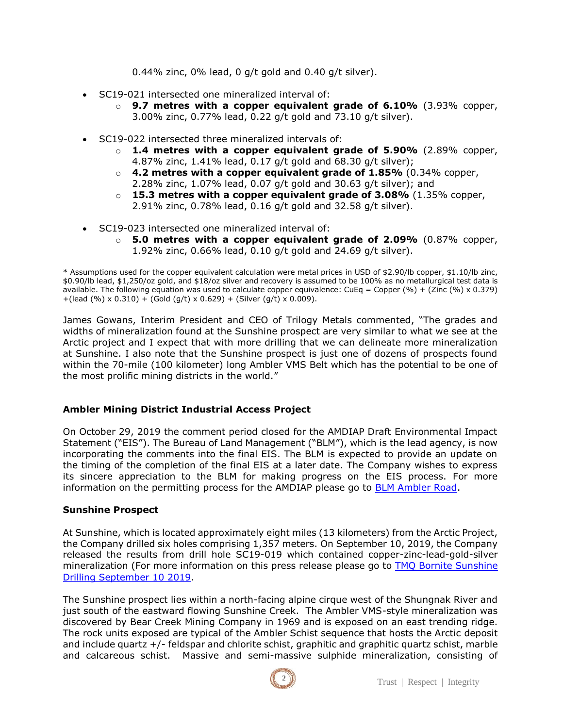0.44% zinc, 0% lead, 0 g/t gold and 0.40 g/t silver).

- SC19-021 intersected one mineralized interval of:
	- o **9.7 metres with a copper equivalent grade of 6.10%** (3.93% copper, 3.00% zinc, 0.77% lead, 0.22 g/t gold and 73.10 g/t silver).
- SC19-022 intersected three mineralized intervals of:
	- o **1.4 metres with a copper equivalent grade of 5.90%** (2.89% copper, 4.87% zinc, 1.41% lead, 0.17 g/t gold and 68.30 g/t silver);
	- o **4.2 metres with a copper equivalent grade of 1.85%** (0.34% copper, 2.28% zinc, 1.07% lead, 0.07 g/t gold and 30.63 g/t silver); and
	- o **15.3 metres with a copper equivalent grade of 3.08%** (1.35% copper, 2.91% zinc, 0.78% lead, 0.16 g/t gold and 32.58 g/t silver).
- SC19-023 intersected one mineralized interval of:
	- o **5.0 metres with a copper equivalent grade of 2.09%** (0.87% copper, 1.92% zinc, 0.66% lead, 0.10 g/t gold and 24.69 g/t silver).

\* Assumptions used for the copper equivalent calculation were metal prices in USD of \$2.90/lb copper, \$1.10/lb zinc, \$0.90/lb lead, \$1,250/oz gold, and \$18/oz silver and recovery is assumed to be 100% as no metallurgical test data is available. The following equation was used to calculate copper equivalence: CuEq = Copper (%) + (Zinc (%) x 0.379) +(lead (%) x 0.310) + (Gold (g/t) x 0.629) + (Silver (g/t) x 0.009).

James Gowans, Interim President and CEO of Trilogy Metals commented, "The grades and widths of mineralization found at the Sunshine prospect are very similar to what we see at the Arctic project and I expect that with more drilling that we can delineate more mineralization at Sunshine. I also note that the Sunshine prospect is just one of dozens of prospects found within the 70-mile (100 kilometer) long Ambler VMS Belt which has the potential to be one of the most prolific mining districts in the world."

# **Ambler Mining District Industrial Access Project**

On October 29, 2019 the comment period closed for the AMDIAP Draft Environmental Impact Statement ("EIS"). The Bureau of Land Management ("BLM"), which is the lead agency, is now incorporating the comments into the final EIS. The BLM is expected to provide an update on the timing of the completion of the final EIS at a later date. The Company wishes to express its sincere appreciation to the BLM for making progress on the EIS process. For more information on the permitting process for the AMDIAP please go to [BLM Ambler Road.](https://www.blm.gov/programs/planning-and-nepa/plans-in-development/alaska/AmblerRoadEIS)

# **Sunshine Prospect**

At Sunshine, which is located approximately eight miles (13 kilometers) from the Arctic Project, the Company drilled six holes comprising 1,357 meters. On September 10, 2019, the Company released the results from drill hole SC19-019 which contained copper-zinc-lead-gold-silver mineralization (For more information on this press release please go to **TMQ Bornite Sunshine** [Drilling September 10 2019.](https://trilogymetals.com/news/2019/trilogy-metals-reports-drilling-results-from-newly-discovered-zone-at-the-sunshine-prospect-and-drilling-results-at-the-bornite-project)

The Sunshine prospect lies within a north-facing alpine cirque west of the Shungnak River and just south of the eastward flowing Sunshine Creek. The Ambler VMS-style mineralization was discovered by Bear Creek Mining Company in 1969 and is exposed on an east trending ridge. The rock units exposed are typical of the Ambler Schist sequence that hosts the Arctic deposit and include quartz +/- feldspar and chlorite schist, graphitic and graphitic quartz schist, marble and calcareous schist. Massive and semi-massive sulphide mineralization, consisting of

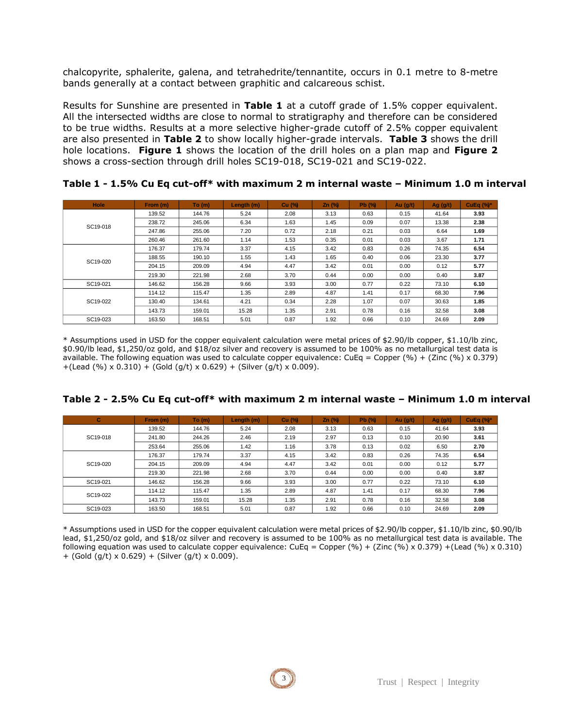chalcopyrite, sphalerite, galena, and tetrahedrite/tennantite, occurs in 0.1 metre to 8-metre bands generally at a contact between graphitic and calcareous schist.

Results for Sunshine are presented in **Table 1** at a cutoff grade of 1.5% copper equivalent. All the intersected widths are close to normal to stratigraphy and therefore can be considered to be true widths. Results at a more selective higher-grade cutoff of 2.5% copper equivalent are also presented in **Table 2** to show locally higher-grade intervals. **Table 3** shows the drill hole locations. **Figure 1** shows the location of the drill holes on a plan map and **Figure 2**  shows a cross-section through drill holes SC19-018, SC19-021 and SC19-022.

| Hole     | From (m) | To (m) | Length (m) | <b>Cu</b> (%) | $Zn$ (%) | Pb (%) | Au $(g/t)$ | Ag $(g/t)$ | CuEq $(\%)^*$ |
|----------|----------|--------|------------|---------------|----------|--------|------------|------------|---------------|
| SC19-018 | 139.52   | 144.76 | 5.24       | 2.08          | 3.13     | 0.63   | 0.15       | 41.64      | 3.93          |
|          | 238.72   | 245.06 | 6.34       | 1.63          | 1.45     | 0.09   | 0.07       | 13.38      | 2.38          |
|          | 247.86   | 255.06 | 7.20       | 0.72          | 2.18     | 0.21   | 0.03       | 6.64       | 1.69          |
|          | 260.46   | 261.60 | 1.14       | 1.53          | 0.35     | 0.01   | 0.03       | 3.67       | 1.71          |
| SC19-020 | 176.37   | 179.74 | 3.37       | 4.15          | 3.42     | 0.83   | 0.26       | 74.35      | 6.54          |
|          | 188.55   | 190.10 | 1.55       | 1.43          | 1.65     | 0.40   | 0.06       | 23.30      | 3.77          |
|          | 204.15   | 209.09 | 4.94       | 4.47          | 3.42     | 0.01   | 0.00       | 0.12       | 5.77          |
|          | 219.30   | 221.98 | 2.68       | 3.70          | 0.44     | 0.00   | 0.00       | 0.40       | 3.87          |
| SC19-021 | 146.62   | 156.28 | 9.66       | 3.93          | 3.00     | 0.77   | 0.22       | 73.10      | 6.10          |
| SC19-022 | 114.12   | 115.47 | 1.35       | 2.89          | 4.87     | 1.41   | 0.17       | 68.30      | 7.96          |
|          | 130.40   | 134.61 | 4.21       | 0.34          | 2.28     | 1.07   | 0.07       | 30.63      | 1.85          |
|          | 143.73   | 159.01 | 15.28      | 1.35          | 2.91     | 0.78   | 0.16       | 32.58      | 3.08          |
| SC19-023 | 163.50   | 168.51 | 5.01       | 0.87          | 1.92     | 0.66   | 0.10       | 24.69      | 2.09          |

**Table 1 - 1.5% Cu Eq cut-off\* with maximum 2 m internal waste – Minimum 1.0 m interval**

\* Assumptions used in USD for the copper equivalent calculation were metal prices of \$2.90/lb copper, \$1.10/lb zinc, \$0.90/lb lead, \$1,250/oz gold, and \$18/oz silver and recovery is assumed to be 100% as no metallurgical test data is available. The following equation was used to calculate copper equivalence: CuEq = Copper (%) + (Zinc (%) x 0.379)  $+($ Lead (%) x 0.310) + (Gold (q/t) x 0.629) + (Silver (q/t) x 0.009).

| Table 2 - 2.5% Cu Eq cut-off* with maximum 2 m internal waste - Minimum 1.0 m interval |  |  |  |  |  |
|----------------------------------------------------------------------------------------|--|--|--|--|--|
|----------------------------------------------------------------------------------------|--|--|--|--|--|

| c        | From (m) | To (m) | Length (m) | $Cu$ (%) | $Zn$ (%) | $Pb$ (%) | Au $(g/t)$ | Ag $(g/t)$ | CuEq $(\%)^*$ |
|----------|----------|--------|------------|----------|----------|----------|------------|------------|---------------|
|          | 139.52   | 144.76 | 5.24       | 2.08     | 3.13     | 0.63     | 0.15       | 41.64      | 3.93          |
| SC19-018 | 241.80   | 244.26 | 2.46       | 2.19     | 2.97     | 0.13     | 0.10       | 20.90      | 3.61          |
|          | 253.64   | 255.06 | 1.42       | 1.16     | 3.78     | 0.13     | 0.02       | 6.50       | 2.70          |
|          | 176.37   | 179.74 | 3.37       | 4.15     | 3.42     | 0.83     | 0.26       | 74.35      | 6.54          |
| SC19-020 | 204.15   | 209.09 | 4.94       | 4.47     | 3.42     | 0.01     | 0.00       | 0.12       | 5.77          |
|          | 219.30   | 221.98 | 2.68       | 3.70     | 0.44     | 0.00     | 0.00       | 0.40       | 3.87          |
| SC19-021 | 146.62   | 156.28 | 9.66       | 3.93     | 3.00     | 0.77     | 0.22       | 73.10      | 6.10          |
| SC19-022 | 114.12   | 115.47 | 1.35       | 2.89     | 4.87     | 1.41     | 0.17       | 68.30      | 7.96          |
|          | 143.73   | 159.01 | 15.28      | 1.35     | 2.91     | 0.78     | 0.16       | 32.58      | 3.08          |
| SC19-023 | 163.50   | 168.51 | 5.01       | 0.87     | 1.92     | 0.66     | 0.10       | 24.69      | 2.09          |

\* Assumptions used in USD for the copper equivalent calculation were metal prices of \$2.90/lb copper, \$1.10/lb zinc, \$0.90/lb lead, \$1,250/oz gold, and \$18/oz silver and recovery is assumed to be 100% as no metallurgical test data is available. The following equation was used to calculate copper equivalence: CuEq = Copper (%) + (Zinc (%) x 0.379) + (Lead (%) x 0.310) + (Gold (g/t) x 0.629) + (Silver (g/t) x 0.009).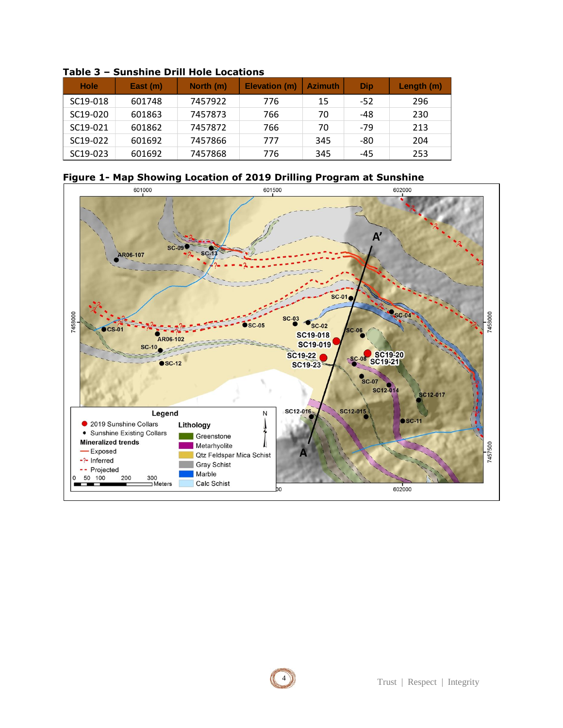| <b>Hole</b>           | East (m) | North (m) | Elevation (m) | <b>Azimuth</b> | Dip   | Length (m) |
|-----------------------|----------|-----------|---------------|----------------|-------|------------|
| SC19-018              | 601748   | 7457922   | 776           | 15             | -52   | 296        |
| SC <sub>19</sub> -020 | 601863   | 7457873   | 766           | 70             | $-48$ | 230        |
| SC19-021              | 601862   | 7457872   | 766           | 70             | $-79$ | 213        |
| SC19-022              | 601692   | 7457866   | 777           | 345            | -80   | 204        |
| SC <sub>19</sub> -023 | 601692   | 7457868   | 776           | 345            | -45   | 253        |

### **Table 3 – Sunshine Drill Hole Locations**



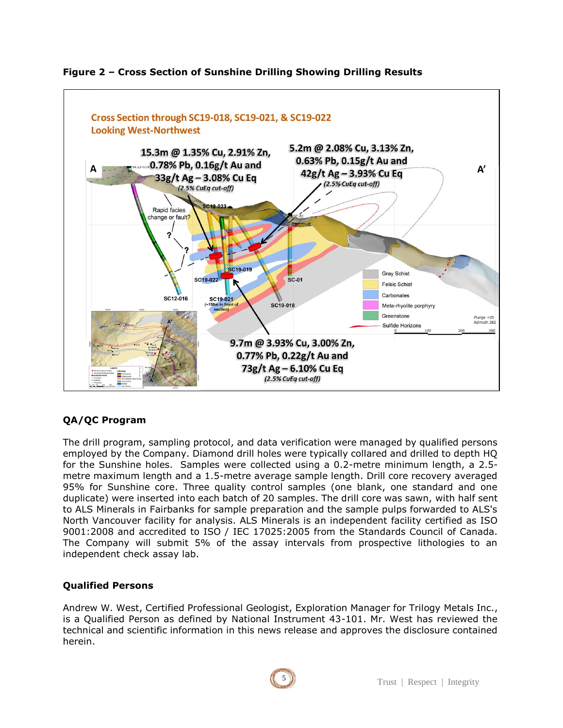

### **Figure 2 – Cross Section of Sunshine Drilling Showing Drilling Results**

# **QA/QC Program**

The drill program, sampling protocol, and data verification were managed by qualified persons employed by the Company. Diamond drill holes were typically collared and drilled to depth HQ for the Sunshine holes. Samples were collected using a 0.2-metre minimum length, a 2.5 metre maximum length and a 1.5-metre average sample length. Drill core recovery averaged 95% for Sunshine core. Three quality control samples (one blank, one standard and one duplicate) were inserted into each batch of 20 samples. The drill core was sawn, with half sent to ALS Minerals in Fairbanks for sample preparation and the sample pulps forwarded to ALS's North Vancouver facility for analysis. ALS Minerals is an independent facility certified as ISO 9001:2008 and accredited to ISO / IEC 17025:2005 from the Standards Council of Canada. The Company will submit 5% of the assay intervals from prospective lithologies to an independent check assay lab.

### **Qualified Persons**

Andrew W. West, Certified Professional Geologist, Exploration Manager for Trilogy Metals Inc., is a Qualified Person as defined by National Instrument 43-101. Mr. West has reviewed the technical and scientific information in this news release and approves the disclosure contained herein.